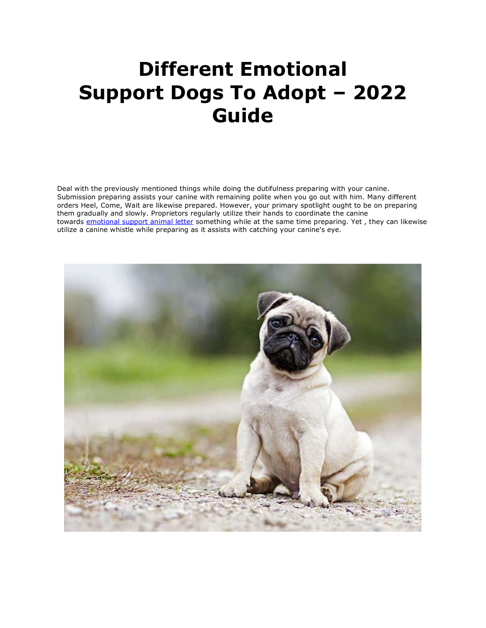## **Different Emotional Support Dogs To Adopt – 2022 Guide**

Deal with the previously mentioned things while doing the dutifulness preparing with your canine. Submission preparing assists your canine with remaining polite when you go out with him. Many different orders Heel, Come, Wait are likewise prepared. However, your primary spotlight ought to be on preparing them gradually and slowly. Proprietors regularly utilize their hands to coordinate the canine towards [emotional support animal letter](https://www.realesaletter.com/sample-esa-letter) something while at the same time preparing. Yet, they can likewise utilize a canine whistle while preparing as it assists with catching your canine's eye.

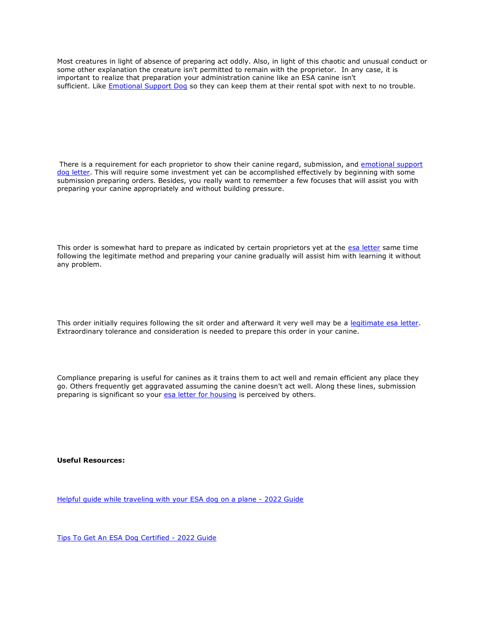Most creatures in light of absence of preparing act oddly. Also, in light of this chaotic and unusual conduct or some other explanation the creature isn't permitted to remain with the proprietor. In any case, it is important to realize that preparation your administration canine like an ESA canine isn't sufficient. Like **[Emotional Support Dog](https://myesaletter.net/emotional-support-dog)** so they can keep them at their rental spot with next to no trouble.

There is a requirement for each proprietor to show their canine regard, submission, and [emotional support](https://www.realesaletter.com/sample-esa-letter)  [dog letter.](https://www.realesaletter.com/sample-esa-letter) This will require some investment yet can be accomplished effectively by beginning with some submission preparing orders. Besides, you really want to remember a few focuses that will assist you with preparing your canine appropriately and without building pressure.

This order is somewhat hard to prepare as indicated by certain proprietors yet at the [esa letter](https://myesaletter.net/esa-letter) same time following the legitimate method and preparing your canine gradually will assist him with learning it without any problem.

This order initially requires following the sit order and afterward it very well may be a [legitimate esa letter.](https://www.realesaletter.com/sample-esa-letter) Extraordinary tolerance and consideration is needed to prepare this order in your canine.

Compliance preparing is useful for canines as it trains them to act well and remain efficient any place they go. Others frequently get aggravated assuming the canine doesn't act well. Along these lines, submission preparing is significant so your **[esa letter for housing](https://www.realesaletter.com/sample-esa-letter)** is perceived by others.

**Useful Resources:**

[Helpful guide while traveling with your ESA dog on a plane -](https://www.breaker.audio/esa-blogs/e/98444037) 2022 Guide

[Tips To Get An ESA Dog Certified -](https://www.doyoubuzz.com/var/f/1j/mz/1jmzHl_JpCcSK40rLED-fzQXGewBOF6U38iqYP5Nh2y_master.pdf) 2022 Guide